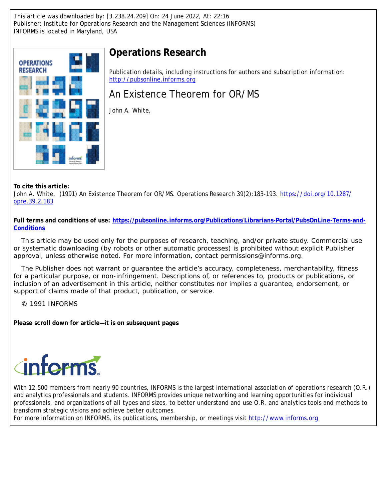This article was downloaded by: [3.238.24.209] On: 24 June 2022, At: 22:16 Publisher: Institute for Operations Research and the Management Sciences (INFORMS) INFORMS is located in Maryland, USA



# **Operations Research**

Publication details, including instructions for authors and subscription information: <http://pubsonline.informs.org>

An Existence Theorem for OR/MS

John A. White,

**To cite this article:**

John A. White, (1991) An Existence Theorem for OR/MS. Operations Research 39(2):183-193. [https://doi.org/10.1287/](https://doi.org/10.1287/opre.39.2.183) [opre.39.2.183](https://doi.org/10.1287/opre.39.2.183)

**Full terms and conditions of use: [https://pubsonline.informs.org/Publications/Librarians-Portal/PubsOnLine-Terms-and-](https://pubsonline.informs.org/Publications/Librarians-Portal/PubsOnLine-Terms-and-Conditions)[Conditions](https://pubsonline.informs.org/Publications/Librarians-Portal/PubsOnLine-Terms-and-Conditions)**

This article may be used only for the purposes of research, teaching, and/or private study. Commercial use or systematic downloading (by robots or other automatic processes) is prohibited without explicit Publisher approval, unless otherwise noted. For more information, contact permissions@informs.org.

The Publisher does not warrant or guarantee the article's accuracy, completeness, merchantability, fitness for a particular purpose, or non-infringement. Descriptions of, or references to, products or publications, or inclusion of an advertisement in this article, neither constitutes nor implies a guarantee, endorsement, or support of claims made of that product, publication, or service.

© 1991 INFORMS

**Please scroll down for article—it is on subsequent pages**



With 12,500 members from nearly 90 countries, INFORMS is the largest international association of operations research (O.R.) and analytics professionals and students. INFORMS provides unique networking and learning opportunities for individual professionals, and organizations of all types and sizes, to better understand and use O.R. and analytics tools and methods to transform strategic visions and achieve better outcomes.

For more information on INFORMS, its publications, membership, or meetings visit <http://www.informs.org>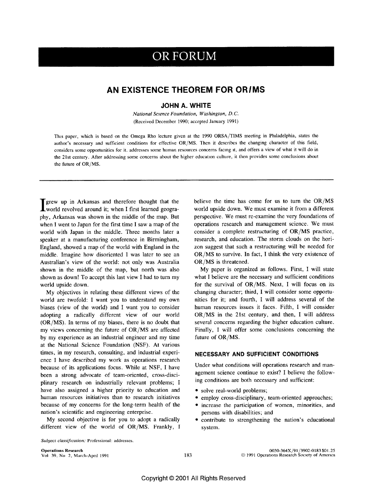# OR FORUM

## AN EXISTENCE THEOREM FOR OR/MS

#### **JOHN A. WHITE**

National Science Foundation, Washington, D.C. (Received December 1990; accepted January 1991)

This paper, which is based on the Omega Rho lecture given at the 1990 ORSA/TIMS meeting in Philadelphia, states the author's necessary and sufficient conditions for effective OR/MS. Then it describes the changing character of this field, considers some opportunities for it. addresses some human resources concerns facing it, and offers a view of what it will do in the 21st century. After addressing some concerns about the higher education culture, it then provides some conclusions about the future of OR/MS.

grew up in Arkansas and therefore thought that the world revolved around it; when I first learned geography, Arkansas was shown in the middle of the map. But when I went to Japan for the first time I saw a map of the world with Japan in the middle. Three months later a speaker at a manufacturing conference in Birmingham, England, showed a map of the world with England in the middle. Imagine how disoriented I was later to see an Australian's view of the world: not only was Australia shown in the middle of the map, but north was also shown as down! To accept this last view I had to turn my world upside down.

My objectives in relating these different views of the world are twofold: I want you to understand my own biases (view of the world) and I want you to consider adopting a radically different view of our world  $(OR/MS)$ . In terms of my biases, there is no doubt that my views concerning the future of OR/MS are affected by my experience as an industrial engineer and my time at the National Science Foundation (NSF). At various times, in my research, consulting, and industrial experience I have described my work as operations research because of its applications focus. While at NSF, I have been a strong advocate of team-oriented, cross-disciplinary research on industrially relevant problems; I have also assigned a higher priority to education and human resources initiatives than to research initiatives because of my concerns for the long-term health of the nation's scientific and engineering enterprise.

My second objective is for you to adopt a radically different view of the world of OR/MS. Frankly, I believe the time has come for us to turn the OR/MS world upside down. We must examine it from a different perspective. We must re-examine the very foundations of operations research and management science. We must consider a complete restructuring of  $OR/MS$  practice, research, and education. The storm clouds on the horizon suggest that such a restructuring will be needed for OR/MS to survive. In fact, I think the very existence of  $OR/MS$  is threatened.

My paper is organized as follows. First, I will state what I believe are the necessary and sufficient conditions for the survival of OR/MS. Next, I will focus on its changing character; third, I will consider some opportunities for it; and fourth, I will address several of the human resources issues it faces. Fifth, I will consider OR/MS in the 21st century, and then, I will address several concerns regarding the higher education culture. Finally, I will offer some conclusions concerning the future of OR/MS.

#### NECESSARY AND SUFFICIENT CONDITIONS

Under what conditions will operations research and management science continue to exist? I believe the following conditions are both necessary and sufficient:

- · solve real-world problems;
- employ cross-disciplinary, team-oriented approaches;
- increase the participation of women, minorities, and persons with disabilities; and
- contribute to strengthening the nation's educational system.

Subject classification: Professional: addresses.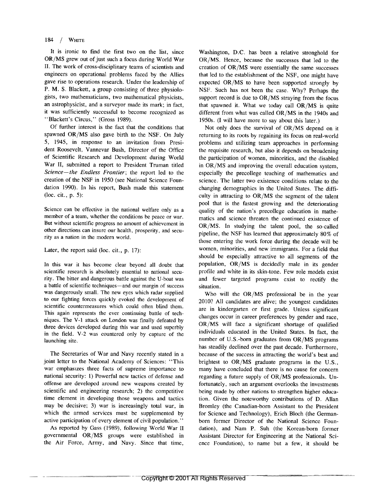#### 184  $\frac{1}{2}$ WHITE

It is ironic to find the first two on the list, since OR/MS grew out of just such a focus during World War II. The work of cross-disciplinary teams of scientists and engineers on operational problems faced by the Allies gave rise to operations research. Under the leadership of P. M. S. Blackett, a group consisting of three physiologists, two mathematicians, two mathematical physicists, an astrophysicist, and a surveyor made its mark; in fact, it was sufficiently successful to become recognized as "Blackett's Circus," (Gross 1989).

Of further interest is the fact that the conditions that spawned OR/MS also gave birth to the NSF. On July 5, 1945, in response to an invitation from President Roosevelt, Vannevar Bush, Director of the Office of Scientific Research and Development during World War II, submitted a report to President Truman titled Science-the Endless Frontier; the report led to the creation of the NSF in 1950 (see National Science Foundation 1990). In his report, Bush made this statement (loc. cit., p. 5):

Science can be effective in the national welfare only as a member of a team, whether the conditions be peace or war. But without scientific progress no amount of achievement in other directions can insure our health, prosperity, and security as a nation in the modern world.

#### Later, the report said (loc. cit., p. 17):

In this war it has become clear beyond all doubt that scientific research is absolutely essential to national security. The bitter and dangerous battle against the U-boat was a battle of scientific techniques—and our margin of success was dangerously small. The new eyes which radar supplied to our fighting forces quickly evoked the development of scientific countermeasures which could often blind them. This again represents the ever continuing battle of techniques. The V-1 attack on London was finally defeated by three devices developed during this war and used superbly in the field. V-2 was countered only by capture of the launching site.

The Secretaries of War and Navy recently stated in a joint letter to the National Academy of Sciences: "This war emphasizes three facts of supreme importance to national security: 1) Powerful new tactics of defense and offense are developed around new weapons created by scientific and engineering research; 2) the competitive time element in developing those weapons and tactics may be decisive; 3) war is increasingly total war, in which the armed services must be supplemented by active participation of every element of civil population."

As reported by Gass (1989), following World War II governmental OR/MS groups were established in the Air Force, Army, and Navy. Since that time, Washington, D.C. has been a relative stronghold for OR/MS. Hence, because the successes that led to the creation of OR/MS were essentially the same successes that led to the establishment of the NSF, one might have expected OR/MS to have been supported strongly by NSF. Such has not been the case. Why? Perhaps the support record is due to OR/MS straying from the focus that spawned it. What we today call OR/MS is quite different from what was called OR/MS in the 1940s and 1950s. (I will have more to say about this later.)

Not only does the survival of OR/MS depend on it returning to its roots by regaining its focus on real-world problems and utilizing team approaches in performing the requisite research, but also it depends on broadening the participation of women, minorities, and the disabled in OR/MS and improving the overall education system, especially the precollege teaching of mathematics and science. The latter two existence conditions relate to the changing demographics in the United States. The difficulty in attracting to OR/MS the segment of the talent pool that is the fastest growing and the deteriorating quality of the nation's precollege education in mathematics and science threaten the continued existence of OR/MS. In studying the talent pool, the so-called pipeline, the NSF has learned that approximately 80% of those entering the work force during the decade will be women, minorities, and new immigrants. For a field that should be especially attractive to all segments of the population, OR/MS is decidedly male in its gender profile and white in its skin-tone. Few role models exist and fewer targeted programs exist to rectify the situation.

Who will the OR/MS professional be in the year 2010? All candidates are alive; the youngest candidates are in kindergarten or first grade. Unless significant changes occur in career preferences by gender and race, OR/MS will face a significant shortage of qualified individuals educated in the United States. In fact, the number of U.S.-born graduates from OR/MS programs has steadily declined over the past decade. Furthermore, because of the success in attracting the world's best and brightest to OR/MS graduate programs in the U.S., many have concluded that there is no cause for concern regarding a future supply of OR/MS professionals. Unfortunately, such an argument overlooks the investments being made by other nations to strengthen higher education. Given the noteworthy contributions of D. Allan Bromley (the Canadian-born Assistant to the President for Science and Technology), Erich Bloch (the Germanborn former Director of the National Science Foundation), and Nam P. Suh (the Korean-born former Assistant Director for Engineering at the National Science Foundation), to name but a few, it should be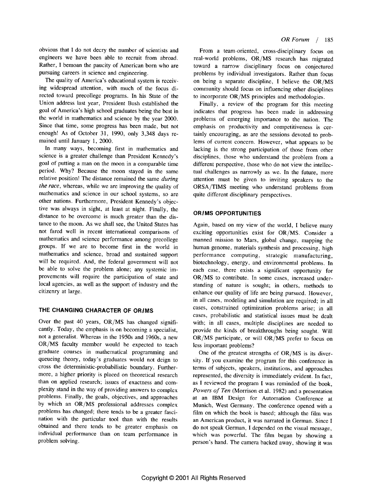obvious that I do not decry the number of scientists and engineers we have been able to recruit from abroad. Rather, I bemoan the paucity of American born who are pursuing careers in science and engineering.

The quality of America's educational system is receiving widespread attention, with much of the focus directed toward precollege programs. In his State of the Union address last year, President Bush established the goal of America's high school graduates being the best in the world in mathematics and science by the year 2000. Since that time, some progress has been made, but not enough! As of October 31, 1990, only 3,348 days remained until January 1, 2000.

In many ways, becoming first in mathematics and science is a greater challenge than President Kennedy's goal of putting a man on the moon in a comparable time period. Why? Because the moon stayed in the same relative position! The distance remained the same *during the race*, whereas, while we are improving the quality of mathematics and science in our school systems, so are other nations. Furthermore, President Kennedy's objective was always in sight, at least at night. Finally, the distance to be overcome is much greater than the distance to the moon. As we shall see, the United States has not fared well in recent international comparisons of mathematics and science performance among precollege groups. If we are to become first in the world in mathematics and science, broad and sustained support will be required. And, the federal government will not be able to solve the problem alone; any systemic improvements will require the participation of state and local agencies, as well as the support of industry and the citizenry at large.

### THE CHANGING CHARACTER OF OR/MS

Over the past 40 years, OR/MS has changed significantly. Today, the emphasis is on becoming a specialist, not a generalist. Whereas in the 1950s and 1960s, a new OR/MS faculty member would be expected to teach graduate courses in mathematical programming and queueing theory, today's graduates would not deign to cross the deterministic-probabilistic boundary. Furthermore, a higher priority is placed on theoretical research than on applied research; issues of exactness and complexity stand in the way of providing answers to complex problems. Finally, the goals, objectives, and approaches by which an OR/MS professional addresses complex problems has changed; there tends to be a greater fascination with the particular tool than with the results obtained and there tends to be greater emphasis on individual performance than on team performance in problem solving.

From a team-oriented, cross-disciplinary focus on real-world problems, OR/MS research has migrated toward a narrow disciplinary focus on conjectured problems by individual investigators. Rather than focus on being a separate discipline, I believe the OR/MS community should focus on influencing other disciplines to incorporate OR/MS principles and methodologies.

Finally, a review of the program for this meeting indicates that progress has been made in addressing problems of emerging importance to the nation. The emphasis on productivity and competitiveness is certainly encouraging, as are the sessions devoted to problems of current concern. However, what appears to be lacking is the strong participation of those from other disciplines, those who understand the problem from a different perspective, those who do not view the intellectual challenges as narrowly as we. In the future, more attention must be given to inviting speakers to the ORSA/TIMS meeting who understand problems from quite different disciplinary perspectives.

#### **OR/MS OPPORTUNITIES**

Again, based on my view of the world, I believe many exciting opportunities exist for OR/MS. Consider a manned mission to Mars, global change, mapping the human genome, materials synthesis and processing, high performance computing, strategic manufacturing, biotechnology, energy, and environmental problems. In each case, there exists a significant opportunity for OR/MS to contribute. In some cases, increased understanding of nature is sought; in others, methods to enhance our quality of life are being pursued. However, in all cases, modeling and simulation are required; in all cases, constrained optimization problems arise; in all cases, probabilistic and statistical issues must be dealt with; in all cases, multiple disciplines are needed to provide the kinds of breakthroughs being sought. Will OR/MS participate, or will OR/MS prefer to focus on less important problems?

One of the greatest strengths of OR/MS is its diversity. If you examine the program for this conference in terms of subjects, speakers, institutions, and approaches represented, the diversity is immediately evident. In fact, as I reviewed the program I was reminded of the book, *Powers of Ten* (Morrison et al. 1982) and a presentation at an IBM Design for Automation Conference at Munich, West Germany. The conference opened with a film on which the book is based; although the film was an American product, it was narrated in German. Since I do not speak German, I depended on the visual message, which was powerful. The film began by showing a person's hand. The camera backed away, showing it was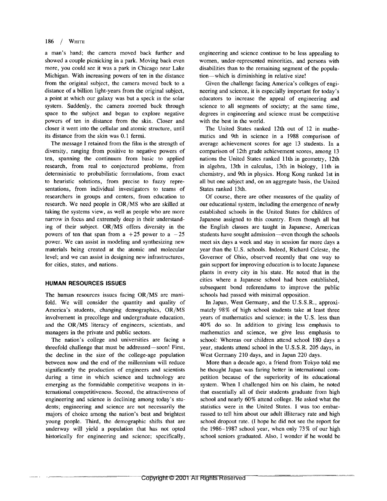#### $186$  / WHITE

a man's hand; the camera moved back further and showed a couple picnicking in a park. Moving back even more, you could see it was a park in Chicago near Lake Michigan. With increasing powers of ten in the distance from the original subject, the camera moved back to a distance of a billion light-years from the original subject, a point at which our galaxy was but a speck in the solar system. Suddenly, the camera zoomed back through space to the subject and began to explore negative powers of ten in distance from the skin. Closer and closer it went into the cellular and atomic structure, until its distance from the skin was 0.1 fermi.

The message I retained from the film is the strength of diversity, ranging from positive to negative powers of ten, spanning the continuum from basic to applied research, from real to conjectured problems, from deterministic to probabilistic formulations, from exact to heuristic solutions, from precise to fuzzy representations, from individual investigators to teams of researchers in groups and centers, from education to research. We need people in OR/MS who are skilled at taking the systems view, as well as people who are more narrow in focus and extremely deep in their understanding of their subject. OR/MS offers diversity in the powers of ten that span from a +25 power to a  $-25$ power. We can assist in modeling and synthesizing new materials being created at the atomic and molecular level; and we can assist in designing new infrastructures, for cities, states, and nations.

#### **HUMAN RESOURCES ISSUES**

The human resources issues facing OR/MS are manifold. We will consider the quantity and quality of America's students, changing demographics, OR/MS involvement in precollege and undergraduate education, and the OR/MS literacy of engineers, scientists, and managers in the private and public sectors.

The nation's college and universities are facing a threefold challenge that must be addressed-soon! First, the decline in the size of the college-age population between now and the end of the millennium will reduce significantly the production of engineers and scientists during a time in which science and technology are emerging as the formidable competitive weapons in international competitiveness. Second, the attractiveness of engineering and science is declining among today's students; engineering and science are not necessarily the majors of choice among the nation's best and brightest young people. Third, the demographic shifts that are underway will yield a population that has not opted historically for engineering and science; specifically,

engineering and science continue to be less appealing to women, under-represented minorities, and persons with disabilities than to the remaining segment of the population-which is diminishing in relative size!

Given the challenge facing America's colleges of engineering and science, it is especially important for today's educators to increase the appeal of engineering and science to all segments of society; at the same time, degrees in engineering and science must be competitive with the best in the world.

The United States ranked 12th out of 12 in mathematics and 9th in science in a 1988 comparison of average achievement scores for age 13 students. In a comparison of 12th grade achievement scores, among 13 nations the United States ranked 11th in geometry, 12th in algebra, 13th in calculus, 13th in biology, 11th in chemistry, and 9th in physics. Hong Kong ranked 1st in all but one subject and, on an aggregate basis, the United States ranked 13th.

Of course, there are other measures of the quality of our educational system, including the emergence of newly established schools in the United States for children of Japanese assigned to this country. Even though all but the English classes are taught in Japanese, American students have sought admission—even though the schools meet six days a week and stay in session far more days a year than the U.S. schools. Indeed, Richard Celeste, the Governor of Ohio, observed recently that one way to gain support for improving education is to locate Japanese plants in every city in his state. He noted that in the cities where a Japanese school had been established, subsequent bond referendums to improve the public schools had passed with minimal opposition.

In Japan, West Germany, and the U.S.S.R., approximately 98% of high school students take at least three years of mathematics and science; in the U.S. less than 40% do so. In addition to giving less emphasis to mathematics and science, we give less emphasis to school: Whereas our children attend school 180 days a year, students attend school in the U.S.S.R. 205 days, in West Germany 210 days, and in Japan 220 days.

More than a decade ago, a friend from Tokyo told me he thought Japan was faring better in international competition because of the superiority of its educational system. When I challenged him on his claim, he noted that essentially all of their students graduate from high school and nearly 60% attend college. He asked what the statistics were in the United States. I was too embarrassed to tell him about our adult illiteracy rate and high school dropout rate. (I hope he did not see the report for the 1986-1987 school year, when only 73% of our high school seniors graduated. Also, I wonder if he would be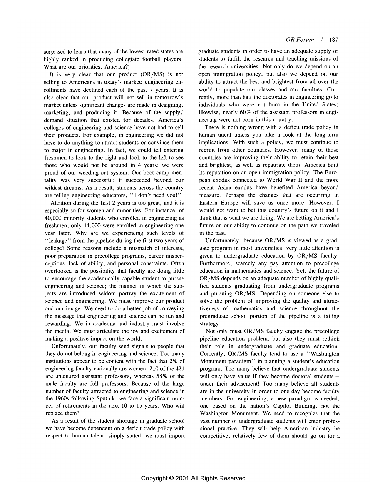surprised to learn that many of the lowest rated states are highly ranked in producing collegiate football players. What are our priorities, America?)

It is very clear that our product (OR/MS) is not selling to Americans in today's market; engineering enrollments have declined each of the past 7 years. It is also clear that our product will not sell in tomorrow's market unless significant changes are made in designing, marketing, and producing it. Because of the supply/ demand situation that existed for decades, America's colleges of engineering and science have not had to sell their products. For example, in engineering we did not have to do anything to attract students or convince them to major in engineering. In fact, we could tell entering freshmen to look to the right and look to the left to see those who would not be around in 4 years; we were proud of our weeding-out system. Our boot camp mentality was very successful; it succeeded beyond our wildest dreams. As a result, students across the country are telling engineering educators, "I don't need you!"

Attrition during the first 2 years is too great, and it is especially so for women and minorities. For instance, of 40,000 minority students who enrolled in engineering as freshmen, only 14,000 were enrolled in engineering one year later. Why are we experiencing such levels of "leakage" from the pipeline during the first two years of college? Some reasons include a mismatch of interests, poor preparation in precollege programs, career misperceptions, lack of ability, and personal constraints. Often overlooked is the possibility that faculty are doing little to encourage the academically capable student to pursue engineering and science; the manner in which the subjects are introduced seldom portray the excitement of science and engineering. We must improve our product and our image. We need to do a better job of conveying the message that engineering and science can be fun and rewarding. We in academia and industry must involve the media. We must articulate the joy and excitement of making a positive impact on the world.

Unfortunately, our faculty send signals to people that they do not belong in engineering and science. Too many institutions appear to be content with the fact that 2% of engineering faculty nationally are women; 210 of the 421 are untenured assistant professors, whereas 58% of the male faculty are full professors. Because of the large number of faculty attracted to engineering and science in the 1960s following Sputnik, we face a significant number of retirements in the next 10 to 15 years. Who will replace them?

As a result of the student shortage in graduate school we have become dependent on a deficit trade policy with respect to human talent; simply stated, we must import graduate students in order to have an adequate supply of students to fulfill the research and teaching missions of the research universities. Not only do we depend on an open immigration policy, but also we depend on our ability to attract the best and brightest from all over the world to populate our classes and our faculties. Currently, more than half the doctorates in engineering go to individuals who were not born in the United States; likewise, nearly 60% of the assistant professors in engineering were not born in this country.

There is nothing wrong with a deficit trade policy in human talent unless you take a look at the long-term implications. With such a policy, we must continue to recruit from other countries. However, many of those countries are improving their ability to retain their best and brightest, as well as repatriate them. America built its reputation on an open immigration policy. The European exodus connected to World War II and the more recent Asian exodus have benefited America beyond measure. Perhaps the changes that are occurring in Eastern Europe will save us once more. However, I would not want to bet this country's future on it and I think that is what we are doing. We are betting America's future on our ability to continue on the path we traveled in the past.

Unfortunately, because OR/MS is viewed as a graduate program in most universities, very little attention is given to undergraduate education by OR/MS faculty. Furthermore, scarcely any pay attention to precollege education in mathematics and science. Yet, the future of OR/MS depends on an adequate number of highly qualified students graduating from undergraduate programs and pursuing OR/MS. Depending on someone else to solve the problem of improving the quality and attractiveness of mathematics and science throughout the pregraduate school portion of the pipeline is a failing strategy.

Not only must OR/MS faculty engage the precollege pipeline education problem, but also they must rethink their role in undergraduate and graduate education. Currently, OR/MS faculty tend to use a "Washington Monument paradigm" in planning a student's education program. Too many believe that undergraduate students will only have value if they become doctoral studentsunder their advisement! Too many believe all students are in the university in order to one day become faculty members. For engineering, a new paradigm is needed, one based on the nation's Capitol Building, not the Washington Monument. We need to recognize that the vast number of undergraduate students will enter professional practice. They will help American industry be competitive; relatively few of them should go on for a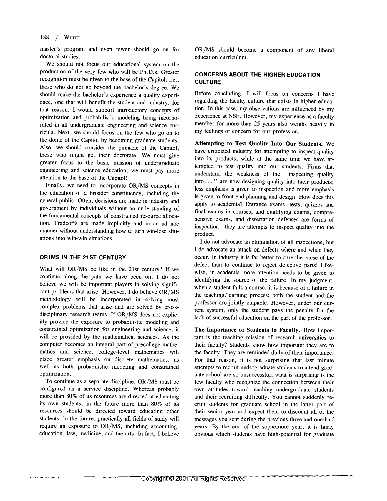#### 188 / WHITE

master's program and even fewer should go on for doctoral studies.

We should not focus our educational system on the production of the very few who will be Ph.D.s. Greater recognition must be given to the base of the Capitol, i.e., those who do not go beyond the bachelor's degree. We should make the bachelor's experience a quality experience, one that will benefit the student and industry; for that reason, I would support introductory concepts of optimization and probabilistic modeling being incorporated in all undergraduate engineering and science curricula. Next, we should focus on the few who go on to the dome of the Capitol by becoming graduate students. Also, we should consider the pinnacle of the Capitol, those who might get their doctorate. We must give greater focus to the basic mission of undergraduate engineering and science education; we must pay more attention to the base of the Capitol!

Finally, we need to incorporate OR/MS concepts in the education of a broader constituency, including the general public. Often, decisions are made in industry and government by individuals without an understanding of the fundamental concepts of constrained resource allocation. Tradeoffs are made implicitly and in an ad hoc manner without understanding how to turn win-lose situations into win-win situations.

#### OR/MS IN THE 21ST CENTURY

What will OR/MS be like in the 21st century? If we continue along the path we have been on, I do not believe we will be important players in solving significant problems that arise. However, I do believe OR/MS methodology will be incorporated in solving most complex problems that arise and are solved by crossdisciplinary research teams. If OR/MS does not explicitly provide the exposure to probabilistic modeling and constrained optimization for engineering and science, it will be provided by the mathematical sciences. As the computer becomes an integral part of precollege mathematics and science, college-level mathematics will place greater emphasis on discrete mathematics, as well as both probabilistic modeling and constrained optimization.

To continue as a separate discipline, OR/MS must be configured as a service discipline. Whereas probably more than 80% of its resources are directed at educating its own students, in the future more than 80% of its resources should be directed toward educating other students. In the future, practically all fields of study will require an exposure to OR/MS, including accounting, education, law, medicine, and the arts. In fact, I believe OR/MS should become a component of any liberal education curriculum.

### **CONCERNS ABOUT THE HIGHER EDUCATION CULTURE**

Before concluding, I will focus on concerns I have regarding the faculty culture that exists in higher education. In this case, my observations are influenced by my experience at NSF. However, my experience as a faculty member for more than 25 years also weighs heavily in my feelings of concern for our profession.

Attempting to Test Quality Into Our Students. We have criticized industry for attempting to inspect quality into its products, while at the same time we have attempted to test quality into our students. Firms that understand the weakness of the "inspecting quality into ..." are now designing quality into their products; less emphasis is given to inspection and more emphasis is given to front-end planning and design. How does this apply to academia? Entrance exams, tests, quizzes and final exams in courses; and qualifying exams, comprehensive exams, and dissertation defenses are forms of inspection—they are attempts to inspect quality into the product.

I do not advocate an elimination of all inspections, but I do advocate an attack on defects where and when they occur. In industry it is far better to cure the cause of the defect than to continue to reject defective parts! Likewise, in academia more attention needs to be given to identifying the source of the failure. In my judgment, when a student fails a course, it is because of a failure in the teaching/learning process; both the student and the professor are jointly culpable. However, under our current system, only the student pays the penalty for the lack of successful education on the part of the professor.

The Importance of Students to Faculty. How important is the teaching mission of research universities to their faculty? Students know how important they are to the faculty. They are reminded daily of their importance. For that reason, it is not surprising that last minute attempts to recruit undergraduate students to attend graduate school are so unsuccessful; what is surprising is the few faculty who recognize the connection between their own attitudes toward teaching undergraduate students and their recruiting difficulty. You cannot suddenly recruit students for graduate school in the latter part of their senior year and expect them to discount all of the messages you sent during the previous three and one-half years. By the end of the sophomore year, it is fairly obvious which students have high-potential for graduate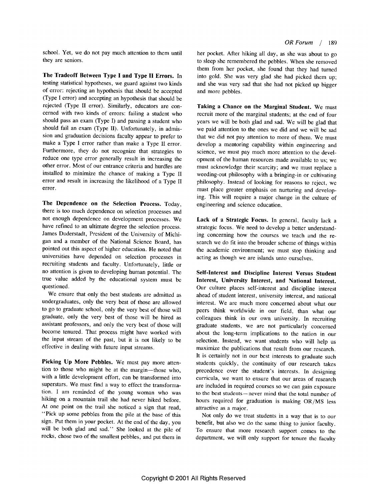school. Yet, we do not pay much attention to them until they are seniors.

The Tradeoff Between Type I and Type II Errors. In testing statistical hypotheses, we guard against two kinds of error: rejecting an hypothesis that should be accepted (Type I error) and accepting an hypothesis that should be rejected (Type II error). Similarly, educators are concerned with two kinds of errors: failing a student who should pass an exam (Type I) and passing a student who should fail an exam (Type II). Unfortunately, in admission and graduation decisions faculty appear to prefer to make a Type I error rather than make a Type II error. Furthermore, they do not recognize that strategies to reduce one type error generally result in increasing the other error. Most of our entrance criteria and hurdles are installed to minimize the chance of making a Type II error and result in increasing the likelihood of a Type II error.

The Dependence on the Selection Process. Today, there is too much dependence on selection processes and not enough dependence on development processes. We have refined to an ultimate degree the selection process. James Duderstadt, President of the University of Michigan and a member of the National Science Board, has pointed out this aspect of higher education. He noted that universities have depended on selection processes in recruiting students and faculty. Unfortunately, little or no attention is given to developing human potential. The true value added by the educational system must be questioned.

We ensure that only the best students are admitted as undergraduates, only the very best of those are allowed to go to graduate school, only the very best of those will graduate, only the very best of those will be hired as assistant professors, and only the very best of those will become tenured. That process might have worked with the input stream of the past, but it is not likely to be effective in dealing with future input streams.

Picking Up More Pebbles. We must pay more attention to those who might be at the margin—those who. with a little development effort, can be transformed into superstars. We must find a way to effect the transformation. I am reminded of the young woman who was hiking on a mountain trail she had never hiked before. At one point on the trail she noticed a sign that read, "Pick up some pebbles from the pile at the base of this sign. Put them in your pocket. At the end of the day, you will be both glad and sad." She looked at the pile of rocks, chose two of the smallest pebbles, and put them in

OR Forum  $/189$ 

her pocket. After hiking all day, as she was about to go to sleep she remembered the pebbles. When she removed them from her pocket, she found that they had turned into gold. She was very glad she had picked them up; and she was very sad that she had not picked up bigger and more pebbles.

Taking a Chance on the Marginal Student. We must recruit more of the marginal students; at the end of four years we will be both glad and sad. We will be glad that we paid attention to the ones we did and we will be sad that we did not pay attention to more of them. We must develop a mentoring capability within engineering and science, we must pay much more attention to the development of the human resources made available to us; we must acknowledge their scarcity; and we must replace a weeding-out philosophy with a bringing-in or cultivating philosophy. Instead of looking for reasons to reject, we must place greater emphasis on nurturing and developing. This will require a major change in the culture of engineering and science education.

Lack of a Strategic Focus. In general, faculty lack a strategic focus. We need to develop a better understanding concerning how the courses we teach and the research we do fit into the broader scheme of things within the academic environment; we must stop thinking and acting as though we are islands unto ourselves.

Self-Interest and Discipline Interest Versus Student Interest, University Interest, and National Interest. Our culture places self-interest and discipline interest ahead of student interest, university interest, and national interest. We are much more concerned about what our peers think worldwide in our field, than what our colleagues think in our own university. In recruiting graduate students, we are not particularly concerned about the long-term implications to the nation in our selection. Instead, we want students who will help us maximize the publications that result from our research. It is certainly not in our best interests to graduate such students quickly, the continuity of our research takes precedence over the student's interests. In designing curricula, we want to ensure that our areas of research are included in required courses so we can gain exposure to the best students-never mind that the total number of hours required for graduation is making OR/MS less attractive as a major.

Not only do we treat students in a way that is to our benefit, but also we do the same thing to junior faculty. To ensure that more research support comes to the department, we will only support for tenure the faculty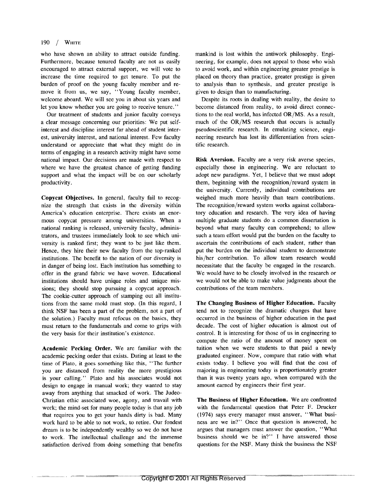#### 190 / WHITE

who have shown an ability to attract outside funding. Furthermore, because tenured faculty are not as easily encouraged to attract external support, we will vote to increase the time required to get tenure. To put the burden of proof on the young faculty member and remove it from us, we say, "Young faculty member, welcome aboard. We will see you in about six years and let you know whether you are going to receive tenure."

Our treatment of students and junior faculty conveys a clear message concerning our priorities: We put selfinterest and discipline interest far ahead of student interest, university interest, and national interest. Few faculty understand or appreciate that what they might do in terms of engaging in a research activity might have some national impact. Our decisions are made with respect to where we have the greatest chance of getting funding support and what the impact will be on our scholarly productivity.

Copycat Objectives. In general, faculty fail to recognize the strength that exists in the diversity within America's education enterprise. There exists an enormous copycat pressure among universities. When a national ranking is released, university faculty, administrators, and trustees immediately look to see which university is ranked first; they want to be just like them. Hence, they hire their new faculty from the top-ranked institutions. The benefit to the nation of our diversity is in danger of being lost. Each institution has something to offer in the grand fabric we have woven. Educational institutions should have unique roles and unique missions; they should stop pursuing a copycat approach. The cookie-cutter approach of stamping out all institutions from the same mold must stop. (In this regard, I think NSF has been a part of the problem, not a part of the solution.) Faculty must refocus on the basics, they must return to the fundamentals and come to grips with the very basis for their institution's existence.

Academic Pecking Order. We are familiar with the academic pecking order that exists. Dating at least to the time of Plato, it goes something like this, "The further you are distanced from reality the more prestigious is your calling." Plato and his associates would not design to engage in manual work; they wanted to stay away from anything that smacked of work. The Judeo-Christian ethic associated woe, agony, and travail with work; the mind-set for many people today is that any job that requires you to get your hands dirty is bad. Many work hard to be able to not work, to retire. Our fondest dream is to be independently wealthy so we do not have to work. The intellectual challenge and the immense satisfaction derived from doing something that benefits mankind is lost within the antiwork philosophy. Engineering, for example, does not appeal to those who wish to avoid work, and within engineering greater prestige is placed on theory than practice, greater prestige is given to analysis than to synthesis, and greater prestige is given to design than to manufacturing.

Despite its roots in dealing with reality, the desire to become distanced from reality, to avoid direct connections to the real world, has infected OR/MS. As a result, much of the OR/MS research that occurs is actually pseudoscientific research. In emulating science, engineering research has lost its differentiation from scientific research.

Risk Aversion. Faculty are a very risk averse species, especially those in engineering. We are reluctant to adopt new paradigms. Yet, I believe that we must adopt them, beginning with the recognition/reward system in the university. Currently, individual contributions are weighed much more heavily than team contributions. The recognition/reward system works against collaboratory education and research. The very idea of having multiple graduate students do a common dissertation is beyond what many faculty can comprehend; to allow such a team effort would put the burden on the faculty to ascertain the contributions of each student, rather than put the burden on the individual student to demonstrate his/her contribution. To allow team research would necessitate that the faculty be engaged in the research. We would have to be closely involved in the research or we would not be able to make value judgments about the contributions of the team members.

The Changing Business of Higher Education. Faculty tend not to recognize the dramatic changes that have occurred in the business of higher education in the past decade. The cost of higher education is almost out of control. It is interesting for those of us in engineering to compute the ratio of the amount of money spent on tuition when we were students to that paid a newly graduated engineer. Now, compare that ratio with what exists today. I believe you will find that the cost of majoring in engineering today is proportionately greater than it was twenty years ago, when compared with the amount earned by engineers their first year.

The Business of Higher Education. We are confronted with the fundamental question that Peter F. Drucker (1974) says every manager must answer, "What business are we in?" Once that question is answered, he argues that managers must answer the question, "What business should we be in?" I have answered those questions for the NSF. Many think the business the NSF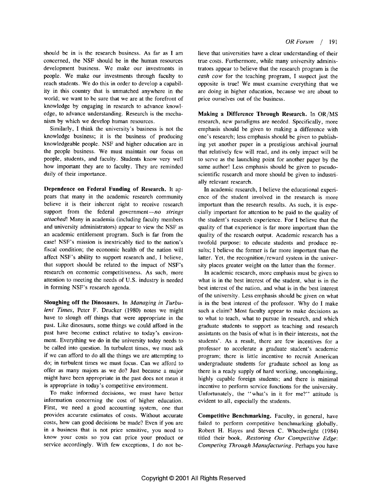should be in is the research business. As far as I am concerned, the NSF should be in the human resources development business. We make our investments in people. We make our investments through faculty to reach students. We do this in order to develop a capability in this country that is unmatched anywhere in the world; we want to be sure that we are at the forefront of knowledge by engaging in research to advance knowledge, to advance understanding. Research is the mechanism by which we develop human resources.

Similarly, I think the university's business is not the knowledge business; it is the business of producing knowledgeable people. NSF and higher education are in the people business. We must maintain our focus on people, students, and faculty. Students know very well how important they are to faculty. They are reminded daily of their importance.

Dependence on Federal Funding of Research. It appears that many in the academic research community believe it is their inherent right to receive research support from the federal government- $no$  strings attached! Many in academia (including faculty members and university administrators) appear to view the NSF as an academic entitlement program. Such is far from the case! NSF's mission is inextricably tied to the nation's fiscal condition; the economic health of the nation will affect NSF's ability to support research and, I believe, that support should be related to the impact of NSF's research on economic competitiveness. As such, more attention to meeting the needs of U.S. industry is needed in forming NSF's research agenda.

Sloughing off the Dinosaurs. In Managing in Turbulent Times, Peter F. Drucker (1980) notes we might have to slough off things that were appropriate in the past. Like dinosaurs, some things we could afford in the past have become extinct relative to today's environment. Everything we do in the university today needs to be called into question. In turbulent times, we must ask if we can afford to do all the things we are attempting to do; in turbulent times we must focus. Can we afford to offer as many majors as we do? Just because a major might have been appropriate in the past does not mean it is appropriate in today's competitive environment.

To make informed decisions, we must have better information concerning the cost of higher education. First, we need a good accounting system, one that provides accurate estimates of costs. Without accurate costs, how can good decisions be made? Even if you are in a business that is not price sensitive, you need to know your costs so you can price your product or service accordingly. With few exceptions, I do not believe that universities have a clear understanding of their true costs. Furthermore, while many university administrators appear to believe that the research program is the cash cow for the teaching program, I suspect just the opposite is true! We must examine everything that we are doing in higher education, because we are about to price ourselves out of the business.

Making a Difference Through Research. In OR/MS research, new paradigms are needed. Specifically, more emphasis should be given to making a difference with one's research; less emphasis should be given to publishing yet another paper in a prestigious archival journal that relatively few will read, and its only impact will be to serve as the launching point for another paper by the same author! Less emphasis should be given to pseudoscientific research and more should be given to industrially relevant research.

In academic research, I believe the educational experience of the student involved in the research is more important than the research results. As such, it is especially important for attention to be paid to the quality of the student's research experience. For I believe that the quality of that experience is far more important than the quality of the research output. Academic research has a twofold purpose: to educate students and produce results; I believe the former is far more important than the latter. Yet, the recognition/reward system in the university places greater weight on the latter than the former.

In academic research, more emphasis must be given to what is in the best interest of the student, what is in the best interest of the nation, and what is in the best interest of the university. Less emphasis should be given on what is in the best interest of the professor. Why do I make such a claim? Most faculty appear to make decisions as to what to teach, what to pursue in research, and which graduate students to support as teaching and research assistants on the basis of what is in their interests, not the students'. As a result, there are few incentives for a professor to accelerate a graduate student's academic program; there is little incentive to recruit American undergraduate students for graduate school as long as there is a ready supply of hard working, uncomplaining, highly capable foreign students; and there is minimal incentive to perform service functions for the university. Unfortunately, the "what's in it for me?" attitude is evident to all, especially the students.

Competitive Benchmarking. Faculty, in general, have failed to perform competitive benchmarking globally. Robert H. Hayes and Steven C. Wheelwright (1984) titled their book, Restoring Our Competitive Edge: Competing Through Manufacturing. Perhaps you have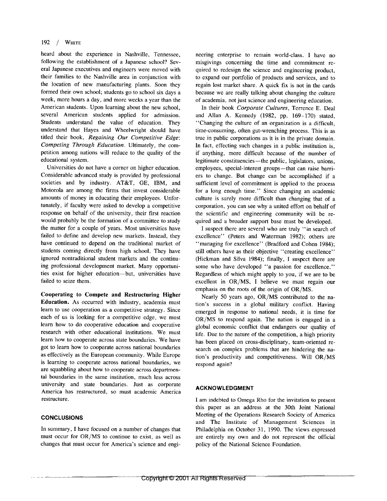#### 192 / WHITE

heard about the experience in Nashville, Tennessee, following the establishment of a Japanese school? Several Japanese executives and engineers were moved with their families to the Nashville area in conjunction with the location of new manufacturing plants. Soon they formed their own school; students go to school six days a week, more hours a day, and more weeks a year than the American students. Upon learning about the new school, several American students applied for admission. Students understand the value of education. They understand that Hayes and Wheelwright should have titled their book, Regaining Our Competitive Edge: Competing Through Education. Ultimately, the competition among nations will reduce to the quality of the educational system.

Universities do not have a corner on higher education. Considerable advanced study is provided by professional societies and by industry. AT&T, GE, IBM, and Motorola are among the firms that invest considerable amounts of money in educating their employees. Unfortunately, if faculty were asked to develop a competitive response on behalf of the university, their first reaction would probably be the formation of a committee to study the matter for a couple of years. Most universities have failed to define and develop new markets. Instead, they have continued to depend on the traditional market of students coming directly from high school. They have ignored nontraditional student markets and the continuing professional development market. Many opportunities exist for higher education-but, universities have failed to seize them.

Cooperating to Compete and Restructuring Higher Education. As occurred with industry, academia must learn to use cooperation as a competitive strategy. Since each of us is looking for a competitive edge, we must learn how to do cooperative education and cooperative research with other educational institutions. We must learn how to cooperate across state boundaries. We have got to learn how to cooperate across national boundaries as effectively as the European community. While Europe is learning to cooperate across national boundaries, we are squabbling about how to cooperate across departmental boundaries in the same institution, much less across university and state boundaries. Just as corporate America has restructured, so must academic America restructure.

#### **CONCLUSIONS**

In summary, I have focused on a number of changes that must occur for OR/MS to continue to exist, as well as changes that must occur for America's science and engi-

neering enterprise to remain world-class. I have no misgivings concerning the time and commitment required to redesign the science and engineering product, to expand our portfolio of products and services, and to regain lost market share. A quick fix is not in the cards because we are really talking about changing the culture of academia, not just science and engineering education.

In their book Corporate Cultures, Terrence E. Deal and Allan A. Kennedy (1982, pp. 169-170) stated, "Changing the culture of an organization is a difficult, time-consuming, often gut-wrenching process. This is as true in public corporations as it is in the private domain. In fact, effecting such changes in a public institution is, if anything, more difficult because of the number of legitimate constituencies—the public, legislators, unions, employees, special-interest groups-that can raise barriers to change. But change can be accomplished if a sufficient level of commitment is applied to the process for a long enough time." Since changing an academic culture is surely more difficult than changing that of a corporation, you can see why a united effort on behalf of the scientific and engineering community will be required and a broader support base must be developed.

I suspect there are several who are truly "in search of excellence" (Peters and Waterman 1982); others are "managing for excellence" (Bradford and Cohen 1984); still others have as their objective "creating excellence" (Hickman and Silva 1984); finally, I suspect there are some who have developed "a passion for excellence." Regardless of which might apply to you, if we are to be excellent in OR/MS, I believe we must regain our emphasis on the roots of the origin of OR/MS.

Nearly 50 years ago, OR/MS contributed to the nation's success in a global military conflict. Having emerged in response to national needs, it is time for OR/MS to respond again. The nation is engaged in a global economic conflict that endangers our quality of life. Due to the nature of the competition, a high priority has been placed on cross-disciplinary, team-oriented research on complex problems that are hindering the nation's productivity and competitiveness. Will OR/MS respond again?

#### **ACKNOWLEDGMENT**

I am indebted to Omega Rho for the invitation to present this paper as an address at the 30th Joint National Meeting of the Operations Research Society of America and The Institute of Management Sciences in Philadelphia on October 31, 1990. The views expressed are entirely my own and do not represent the official policy of the National Science Foundation.